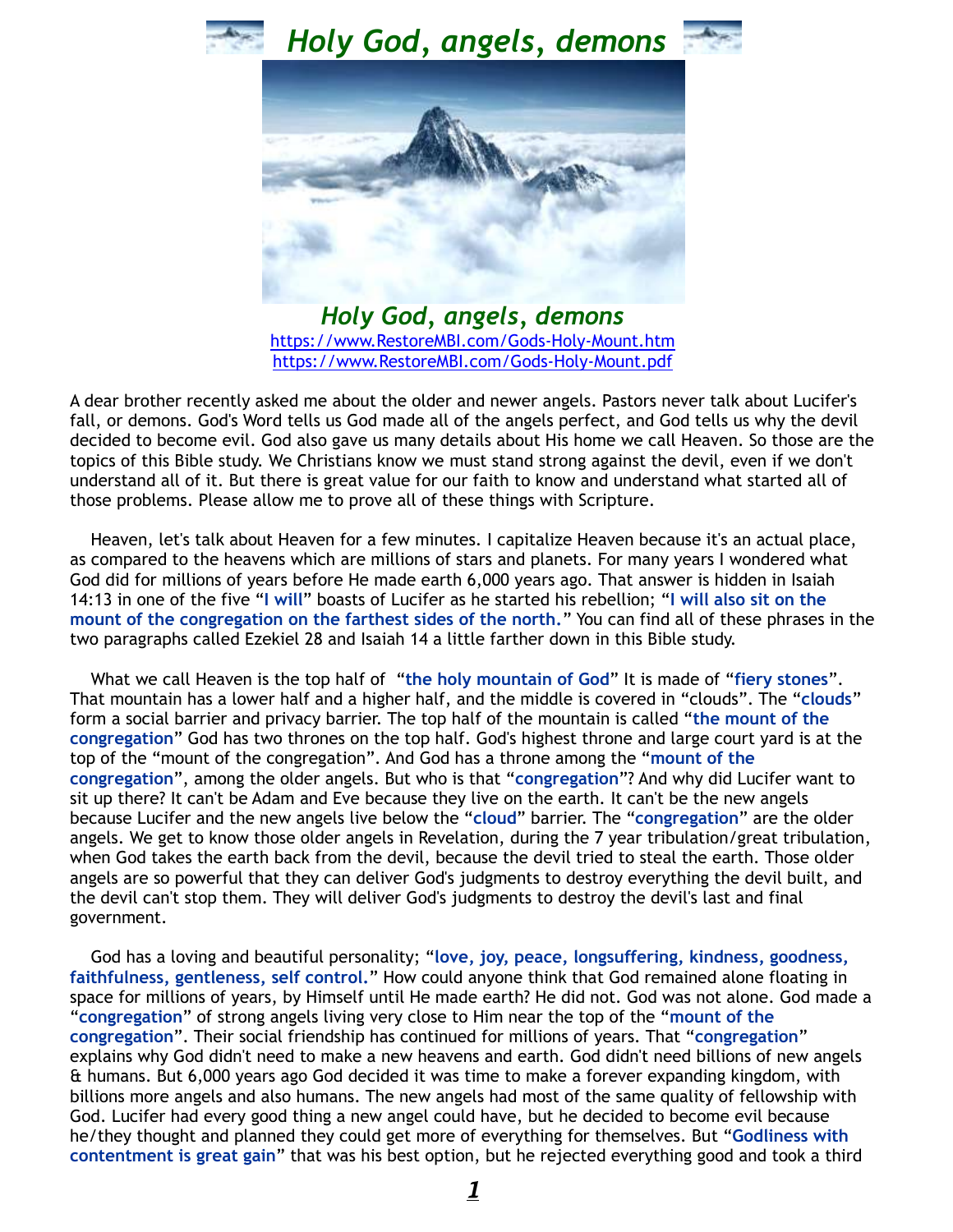





*Holy God, angels, demons* [https://www.RestoreMBI.com/Gods-Holy-Mount.htm](https://www.restorembi.com/Gods-Holy-Mount.htm) [https://www.RestoreMBI.com/Gods-Holy-Mount.pdf](https://www.restorembi.com/Gods-Holy-Mount.pdf)

A dear brother recently asked me about the older and newer angels. Pastors never talk about Lucifer's fall, or demons. God's Word tells us God made all of the angels perfect, and God tells us why the devil decided to become evil. God also gave us many details about His home we call Heaven. So those are the topics of this Bible study. We Christians know we must stand strong against the devil, even if we don't understand all of it. But there is great value for our faith to know and understand what started all of those problems. Please allow me to prove all of these things with Scripture.

 Heaven, let's talk about Heaven for a few minutes. I capitalize Heaven because it's an actual place, as compared to the heavens which are millions of stars and planets. For many years I wondered what God did for millions of years before He made earth 6,000 years ago. That answer is hidden in Isaiah 14:13 in one of the five "**I will**" boasts of Lucifer as he started his rebellion; "**I will also sit on the mount of the congregation on the farthest sides of the north.**" You can find all of these phrases in the two paragraphs called Ezekiel 28 and Isaiah 14 a little farther down in this Bible study.

 What we call Heaven is the top half of "**the holy mountain of God**" It is made of "**fiery stones**". That mountain has a lower half and a higher half, and the middle is covered in "clouds". The "**clouds**" form a social barrier and privacy barrier. The top half of the mountain is called "**the mount of the congregation**" God has two thrones on the top half. God's highest throne and large court yard is at the top of the "mount of the congregation". And God has a throne among the "**mount of the congregation**", among the older angels. But who is that "**congregation**"? And why did Lucifer want to sit up there? It can't be Adam and Eve because they live on the earth. It can't be the new angels because Lucifer and the new angels live below the "**cloud**" barrier. The "**congregation**" are the older angels. We get to know those older angels in Revelation, during the 7 year tribulation/great tribulation, when God takes the earth back from the devil, because the devil tried to steal the earth. Those older angels are so powerful that they can deliver God's judgments to destroy everything the devil built, and the devil can't stop them. They will deliver God's judgments to destroy the devil's last and final government.

 God has a loving and beautiful personality; "**love, joy, peace, longsuffering, kindness, goodness, faithfulness, gentleness, self control.**" How could anyone think that God remained alone floating in space for millions of years, by Himself until He made earth? He did not. God was not alone. God made a "**congregation**" of strong angels living very close to Him near the top of the "**mount of the congregation**". Their social friendship has continued for millions of years. That "**congregation**" explains why God didn't need to make a new heavens and earth. God didn't need billions of new angels & humans. But 6,000 years ago God decided it was time to make a forever expanding kingdom, with billions more angels and also humans. The new angels had most of the same quality of fellowship with God. Lucifer had every good thing a new angel could have, but he decided to become evil because he/they thought and planned they could get more of everything for themselves. But "**Godliness with contentment is great gain**" that was his best option, but he rejected everything good and took a third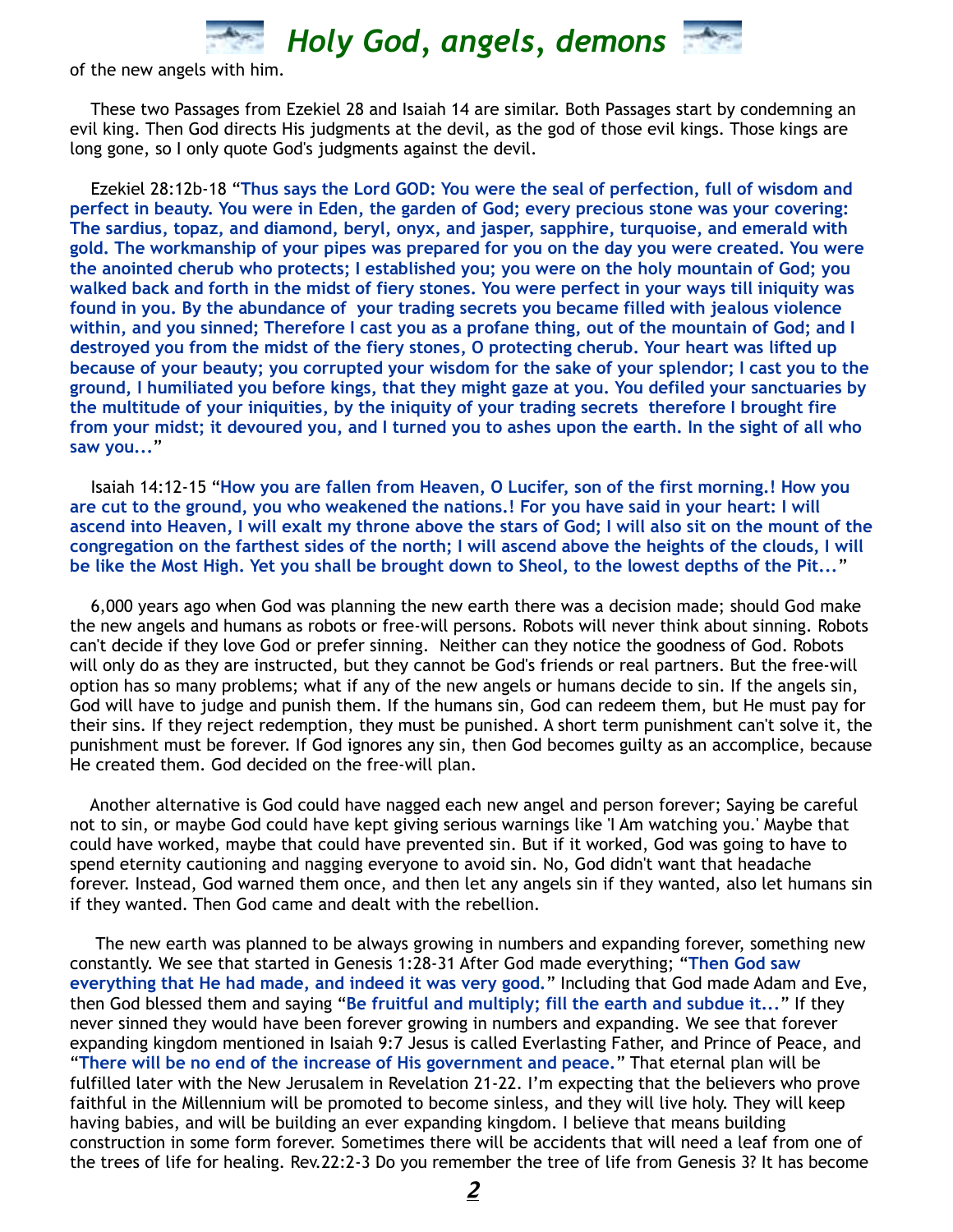

of the new angels with him.

 These two Passages from Ezekiel 28 and Isaiah 14 are similar. Both Passages start by condemning an evil king. Then God directs His judgments at the devil, as the god of those evil kings. Those kings are long gone, so I only quote God's judgments against the devil.

 Ezekiel 28:12b-18 "**Thus says the Lord GOD: You were the seal of perfection, full of wisdom and perfect in beauty. You were in Eden, the garden of God; every precious stone was your covering: The sardius, topaz, and diamond, beryl, onyx, and jasper, sapphire, turquoise, and emerald with gold. The workmanship of your pipes was prepared for you on the day you were created. You were the anointed cherub who protects; I established you; you were on the holy mountain of God; you walked back and forth in the midst of fiery stones. You were perfect in your ways till iniquity was found in you. By the abundance of your trading secrets you became filled with jealous violence within, and you sinned; Therefore I cast you as a profane thing, out of the mountain of God; and I destroyed you from the midst of the fiery stones, O protecting cherub. Your heart was lifted up because of your beauty; you corrupted your wisdom for the sake of your splendor; I cast you to the ground, I humiliated you before kings, that they might gaze at you. You defiled your sanctuaries by the multitude of your iniquities, by the iniquity of your trading secrets therefore I brought fire from your midst; it devoured you, and I turned you to ashes upon the earth. In the sight of all who saw you...**"

 Isaiah 14:12-15 "**How you are fallen from Heaven, O Lucifer, son of the first morning.! How you are cut to the ground, you who weakened the nations.! For you have said in your heart: I will ascend into Heaven, I will exalt my throne above the stars of God; I will also sit on the mount of the congregation on the farthest sides of the north; I will ascend above the heights of the clouds, I will be like the Most High. Yet you shall be brought down to Sheol, to the lowest depths of the Pit...**"

 6,000 years ago when God was planning the new earth there was a decision made; should God make the new angels and humans as robots or free-will persons. Robots will never think about sinning. Robots can't decide if they love God or prefer sinning. Neither can they notice the goodness of God. Robots will only do as they are instructed, but they cannot be God's friends or real partners. But the free-will option has so many problems; what if any of the new angels or humans decide to sin. If the angels sin, God will have to judge and punish them. If the humans sin, God can redeem them, but He must pay for their sins. If they reject redemption, they must be punished. A short term punishment can't solve it, the punishment must be forever. If God ignores any sin, then God becomes guilty as an accomplice, because He created them. God decided on the free-will plan.

 Another alternative is God could have nagged each new angel and person forever; Saying be careful not to sin, or maybe God could have kept giving serious warnings like 'I Am watching you.' Maybe that could have worked, maybe that could have prevented sin. But if it worked, God was going to have to spend eternity cautioning and nagging everyone to avoid sin. No, God didn't want that headache forever. Instead, God warned them once, and then let any angels sin if they wanted, also let humans sin if they wanted. Then God came and dealt with the rebellion.

 The new earth was planned to be always growing in numbers and expanding forever, something new constantly. We see that started in Genesis 1:28-31 After God made everything; "**Then God saw everything that He had made, and indeed it was very good.**" Including that God made Adam and Eve, then God blessed them and saying "**Be fruitful and multiply; fill the earth and subdue it...**" If they never sinned they would have been forever growing in numbers and expanding. We see that forever expanding kingdom mentioned in Isaiah 9:7 Jesus is called Everlasting Father, and Prince of Peace, and "**There will be no end of the increase of His government and peace.**" That eternal plan will be fulfilled later with the New Jerusalem in Revelation 21-22. I'm expecting that the believers who prove faithful in the Millennium will be promoted to become sinless, and they will live holy. They will keep having babies, and will be building an ever expanding kingdom. I believe that means building construction in some form forever. Sometimes there will be accidents that will need a leaf from one of the trees of life for healing. Rev.22:2-3 Do you remember the tree of life from Genesis 3? It has become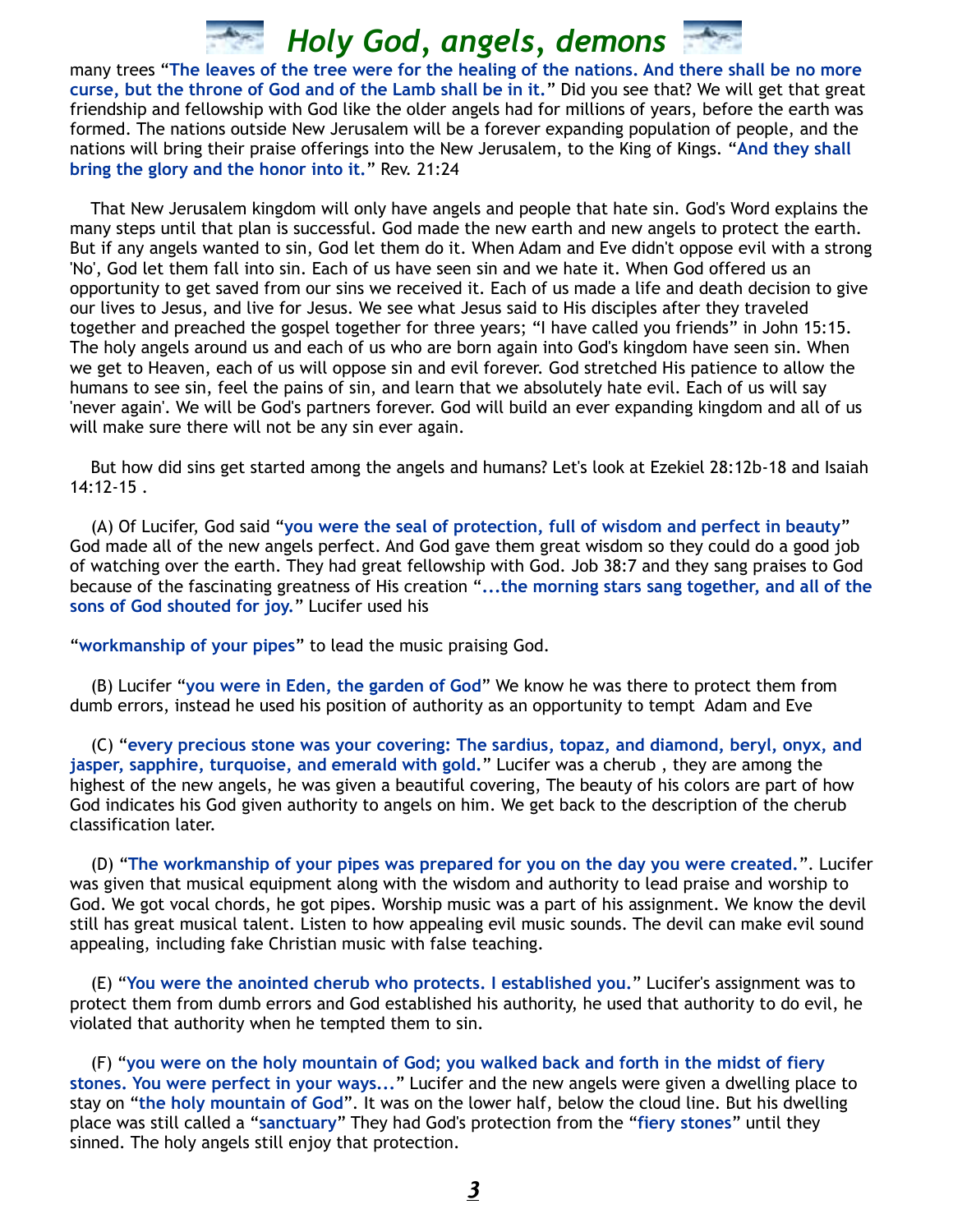many trees "**The leaves of the tree were for the healing of the nations. And there shall be no more curse, but the throne of God and of the Lamb shall be in it.**" Did you see that? We will get that great friendship and fellowship with God like the older angels had for millions of years, before the earth was formed. The nations outside New Jerusalem will be a forever expanding population of people, and the nations will bring their praise offerings into the New Jerusalem, to the King of Kings. "**And they shall bring the glory and the honor into it.**" Rev. 21:24

 That New Jerusalem kingdom will only have angels and people that hate sin. God's Word explains the many steps until that plan is successful. God made the new earth and new angels to protect the earth. But if any angels wanted to sin, God let them do it. When Adam and Eve didn't oppose evil with a strong 'No', God let them fall into sin. Each of us have seen sin and we hate it. When God offered us an opportunity to get saved from our sins we received it. Each of us made a life and death decision to give our lives to Jesus, and live for Jesus. We see what Jesus said to His disciples after they traveled together and preached the gospel together for three years; "I have called you friends" in John 15:15. The holy angels around us and each of us who are born again into God's kingdom have seen sin. When we get to Heaven, each of us will oppose sin and evil forever. God stretched His patience to allow the humans to see sin, feel the pains of sin, and learn that we absolutely hate evil. Each of us will say 'never again'. We will be God's partners forever. God will build an ever expanding kingdom and all of us will make sure there will not be any sin ever again.

 But how did sins get started among the angels and humans? Let's look at Ezekiel 28:12b-18 and Isaiah 14:12-15 .

 (A) Of Lucifer, God said "**you were the seal of protection, full of wisdom and perfect in beauty**" God made all of the new angels perfect. And God gave them great wisdom so they could do a good job of watching over the earth. They had great fellowship with God. Job 38:7 and they sang praises to God because of the fascinating greatness of His creation "**...the morning stars sang together, and all of the sons of God shouted for joy.**" Lucifer used his

"**workmanship of your pipes**" to lead the music praising God.

 (B) Lucifer "**you were in Eden, the garden of God**" We know he was there to protect them from dumb errors, instead he used his position of authority as an opportunity to tempt Adam and Eve

 (C) "**every precious stone was your covering: The sardius, topaz, and diamond, beryl, onyx, and jasper, sapphire, turquoise, and emerald with gold.**" Lucifer was a cherub , they are among the highest of the new angels, he was given a beautiful covering, The beauty of his colors are part of how God indicates his God given authority to angels on him. We get back to the description of the cherub classification later.

 (D) "**The workmanship of your pipes was prepared for you on the day you were created.**". Lucifer was given that musical equipment along with the wisdom and authority to lead praise and worship to God. We got vocal chords, he got pipes. Worship music was a part of his assignment. We know the devil still has great musical talent. Listen to how appealing evil music sounds. The devil can make evil sound appealing, including fake Christian music with false teaching.

 (E) "**You were the anointed cherub who protects. I established you.**" Lucifer's assignment was to protect them from dumb errors and God established his authority, he used that authority to do evil, he violated that authority when he tempted them to sin.

 (F) "**you were on the holy mountain of God; you walked back and forth in the midst of fiery stones. You were perfect in your ways...**" Lucifer and the new angels were given a dwelling place to stay on "**the holy mountain of God**". It was on the lower half, below the cloud line. But his dwelling place was still called a "**sanctuary**" They had God's protection from the "**fiery stones**" until they sinned. The holy angels still enjoy that protection.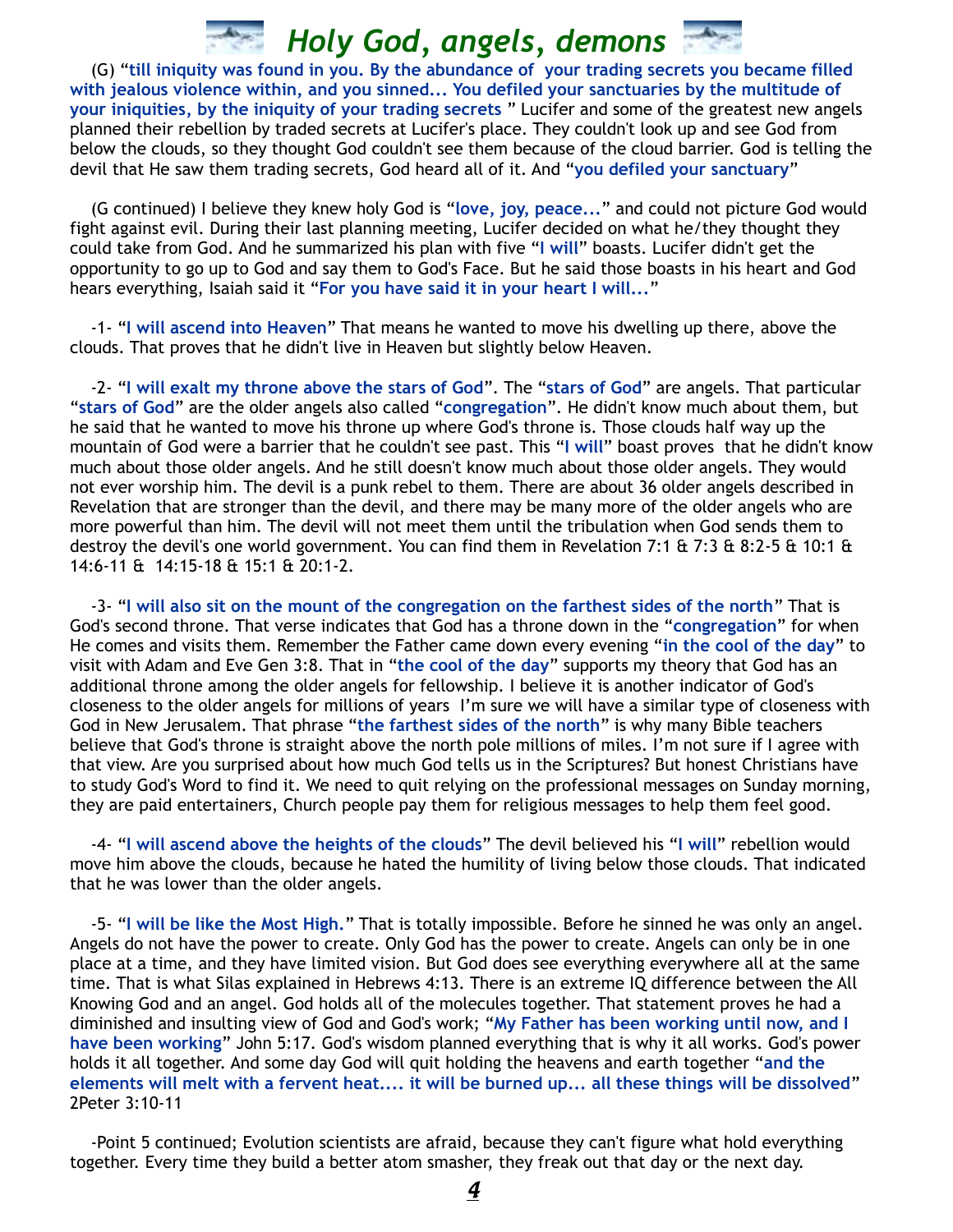(G) "**till iniquity was found in you. By the abundance of your trading secrets you became filled with jealous violence within, and you sinned... You defiled your sanctuaries by the multitude of your iniquities, by the iniquity of your trading secrets** " Lucifer and some of the greatest new angels planned their rebellion by traded secrets at Lucifer's place. They couldn't look up and see God from below the clouds, so they thought God couldn't see them because of the cloud barrier. God is telling the devil that He saw them trading secrets, God heard all of it. And "**you defiled your sanctuary**"

 (G continued) I believe they knew holy God is "**love, joy, peace...**" and could not picture God would fight against evil. During their last planning meeting, Lucifer decided on what he/they thought they could take from God. And he summarized his plan with five "**I will**" boasts. Lucifer didn't get the opportunity to go up to God and say them to God's Face. But he said those boasts in his heart and God hears everything, Isaiah said it "**For you have said it in your heart I will...**"

 -1- "**I will ascend into Heaven**" That means he wanted to move his dwelling up there, above the clouds. That proves that he didn't live in Heaven but slightly below Heaven.

 -2- "**I will exalt my throne above the stars of God**". The "**stars of God**" are angels. That particular "**stars of God**" are the older angels also called "**congregation**". He didn't know much about them, but he said that he wanted to move his throne up where God's throne is. Those clouds half way up the mountain of God were a barrier that he couldn't see past. This "**I will**" boast proves that he didn't know much about those older angels. And he still doesn't know much about those older angels. They would not ever worship him. The devil is a punk rebel to them. There are about 36 older angels described in Revelation that are stronger than the devil, and there may be many more of the older angels who are more powerful than him. The devil will not meet them until the tribulation when God sends them to destroy the devil's one world government. You can find them in Revelation 7:1 & 7:3 & 8:2-5 & 10:1 & 14:6-11 & 14:15-18 & 15:1 & 20:1-2.

 -3- "**I will also sit on the mount of the congregation on the farthest sides of the north**" That is God's second throne. That verse indicates that God has a throne down in the "**congregation**" for when He comes and visits them. Remember the Father came down every evening "**in the cool of the day**" to visit with Adam and Eve Gen 3:8. That in "**the cool of the day**" supports my theory that God has an additional throne among the older angels for fellowship. I believe it is another indicator of God's closeness to the older angels for millions of years I'm sure we will have a similar type of closeness with God in New Jerusalem. That phrase "**the farthest sides of the north**" is why many Bible teachers believe that God's throne is straight above the north pole millions of miles. I'm not sure if I agree with that view. Are you surprised about how much God tells us in the Scriptures? But honest Christians have to study God's Word to find it. We need to quit relying on the professional messages on Sunday morning, they are paid entertainers, Church people pay them for religious messages to help them feel good.

 -4- "**I will ascend above the heights of the clouds**" The devil believed his "**I will**" rebellion would move him above the clouds, because he hated the humility of living below those clouds. That indicated that he was lower than the older angels.

 -5- "**I will be like the Most High.**" That is totally impossible. Before he sinned he was only an angel. Angels do not have the power to create. Only God has the power to create. Angels can only be in one place at a time, and they have limited vision. But God does see everything everywhere all at the same time. That is what Silas explained in Hebrews 4:13. There is an extreme IQ difference between the All Knowing God and an angel. God holds all of the molecules together. That statement proves he had a diminished and insulting view of God and God's work; "**My Father has been working until now, and I have been working**" John 5:17. God's wisdom planned everything that is why it all works. God's power holds it all together. And some day God will quit holding the heavens and earth together "**and the elements will melt with a fervent heat.... it will be burned up... all these things will be dissolved**" 2Peter 3:10-11

 -Point 5 continued; Evolution scientists are afraid, because they can't figure what hold everything together. Every time they build a better atom smasher, they freak out that day or the next day.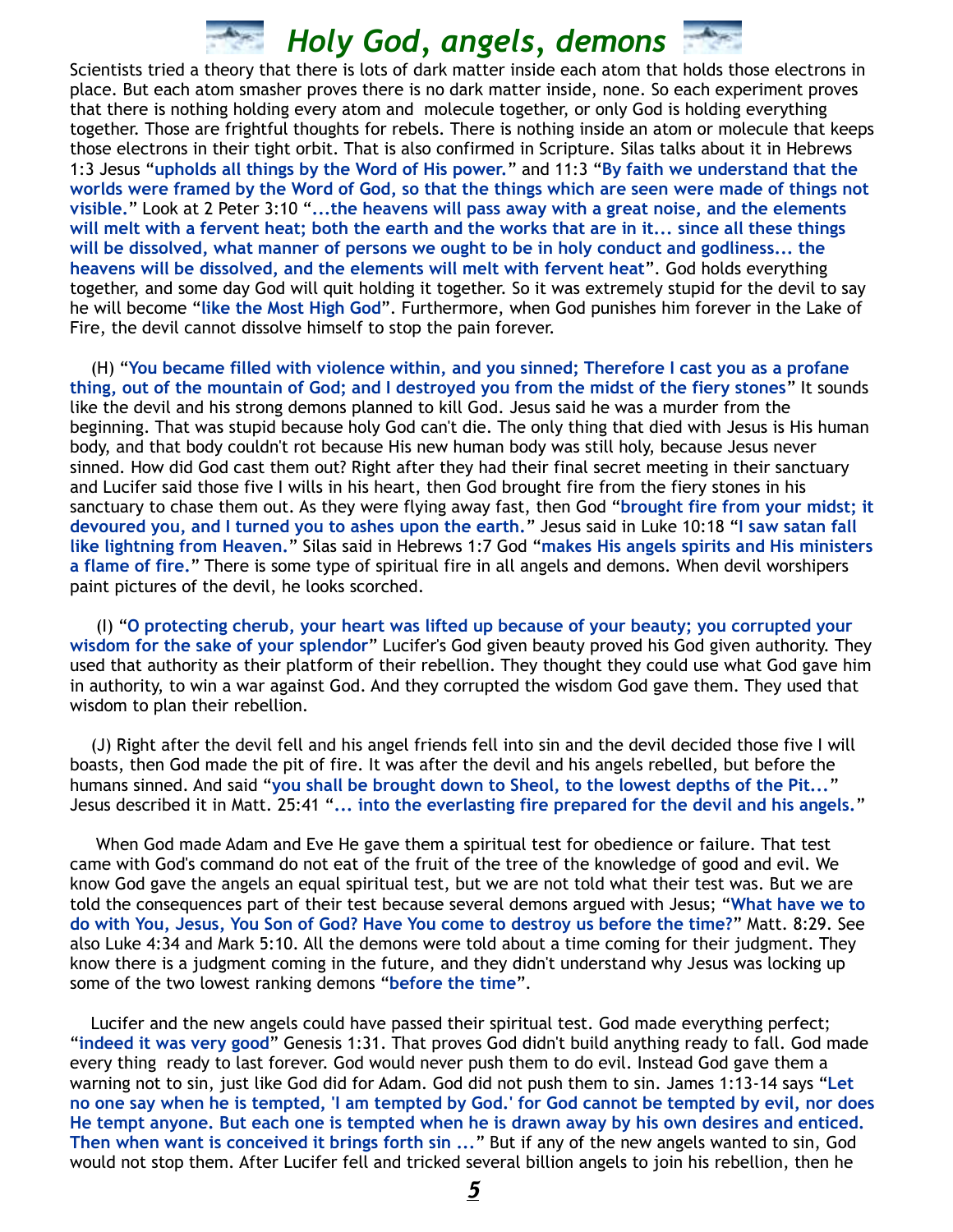Scientists tried a theory that there is lots of dark matter inside each atom that holds those electrons in place. But each atom smasher proves there is no dark matter inside, none. So each experiment proves that there is nothing holding every atom and molecule together, or only God is holding everything together. Those are frightful thoughts for rebels. There is nothing inside an atom or molecule that keeps those electrons in their tight orbit. That is also confirmed in Scripture. Silas talks about it in Hebrews 1:3 Jesus "**upholds all things by the Word of His power.**" and 11:3 "**By faith we understand that the worlds were framed by the Word of God, so that the things which are seen were made of things not visible.**" Look at 2 Peter 3:10 "**...the heavens will pass away with a great noise, and the elements will melt with a fervent heat; both the earth and the works that are in it... since all these things will be dissolved, what manner of persons we ought to be in holy conduct and godliness... the heavens will be dissolved, and the elements will melt with fervent heat**". God holds everything together, and some day God will quit holding it together. So it was extremely stupid for the devil to say he will become "**like the Most High God**". Furthermore, when God punishes him forever in the Lake of Fire, the devil cannot dissolve himself to stop the pain forever.

 (H) "**You became filled with violence within, and you sinned; Therefore I cast you as a profane thing, out of the mountain of God; and I destroyed you from the midst of the fiery stones**" It sounds like the devil and his strong demons planned to kill God. Jesus said he was a murder from the beginning. That was stupid because holy God can't die. The only thing that died with Jesus is His human body, and that body couldn't rot because His new human body was still holy, because Jesus never sinned. How did God cast them out? Right after they had their final secret meeting in their sanctuary and Lucifer said those five I wills in his heart, then God brought fire from the fiery stones in his sanctuary to chase them out. As they were flying away fast, then God "**brought fire from your midst; it devoured you, and I turned you to ashes upon the earth.**" Jesus said in Luke 10:18 "**I saw satan fall like lightning from Heaven.**" Silas said in Hebrews 1:7 God "**makes His angels spirits and His ministers a flame of fire.**" There is some type of spiritual fire in all angels and demons. When devil worshipers paint pictures of the devil, he looks scorched.

 (I) "**O protecting cherub, your heart was lifted up because of your beauty; you corrupted your wisdom for the sake of your splendor**" Lucifer's God given beauty proved his God given authority. They used that authority as their platform of their rebellion. They thought they could use what God gave him in authority, to win a war against God. And they corrupted the wisdom God gave them. They used that wisdom to plan their rebellion.

 (J) Right after the devil fell and his angel friends fell into sin and the devil decided those five I will boasts, then God made the pit of fire. It was after the devil and his angels rebelled, but before the humans sinned. And said "**you shall be brought down to Sheol, to the lowest depths of the Pit...**" Jesus described it in Matt. 25:41 "**... into the everlasting fire prepared for the devil and his angels.**"

 When God made Adam and Eve He gave them a spiritual test for obedience or failure. That test came with God's command do not eat of the fruit of the tree of the knowledge of good and evil. We know God gave the angels an equal spiritual test, but we are not told what their test was. But we are told the consequences part of their test because several demons argued with Jesus; "**What have we to do with You, Jesus, You Son of God? Have You come to destroy us before the time?**" Matt. 8:29. See also Luke 4:34 and Mark 5:10. All the demons were told about a time coming for their judgment. They know there is a judgment coming in the future, and they didn't understand why Jesus was locking up some of the two lowest ranking demons "**before the time**".

 Lucifer and the new angels could have passed their spiritual test. God made everything perfect; "**indeed it was very good**" Genesis 1:31. That proves God didn't build anything ready to fall. God made every thing ready to last forever. God would never push them to do evil. Instead God gave them a warning not to sin, just like God did for Adam. God did not push them to sin. James 1:13-14 says "**Let no one say when he is tempted, 'I am tempted by God.' for God cannot be tempted by evil, nor does He tempt anyone. But each one is tempted when he is drawn away by his own desires and enticed. Then when want is conceived it brings forth sin ...**" But if any of the new angels wanted to sin, God would not stop them. After Lucifer fell and tricked several billion angels to join his rebellion, then he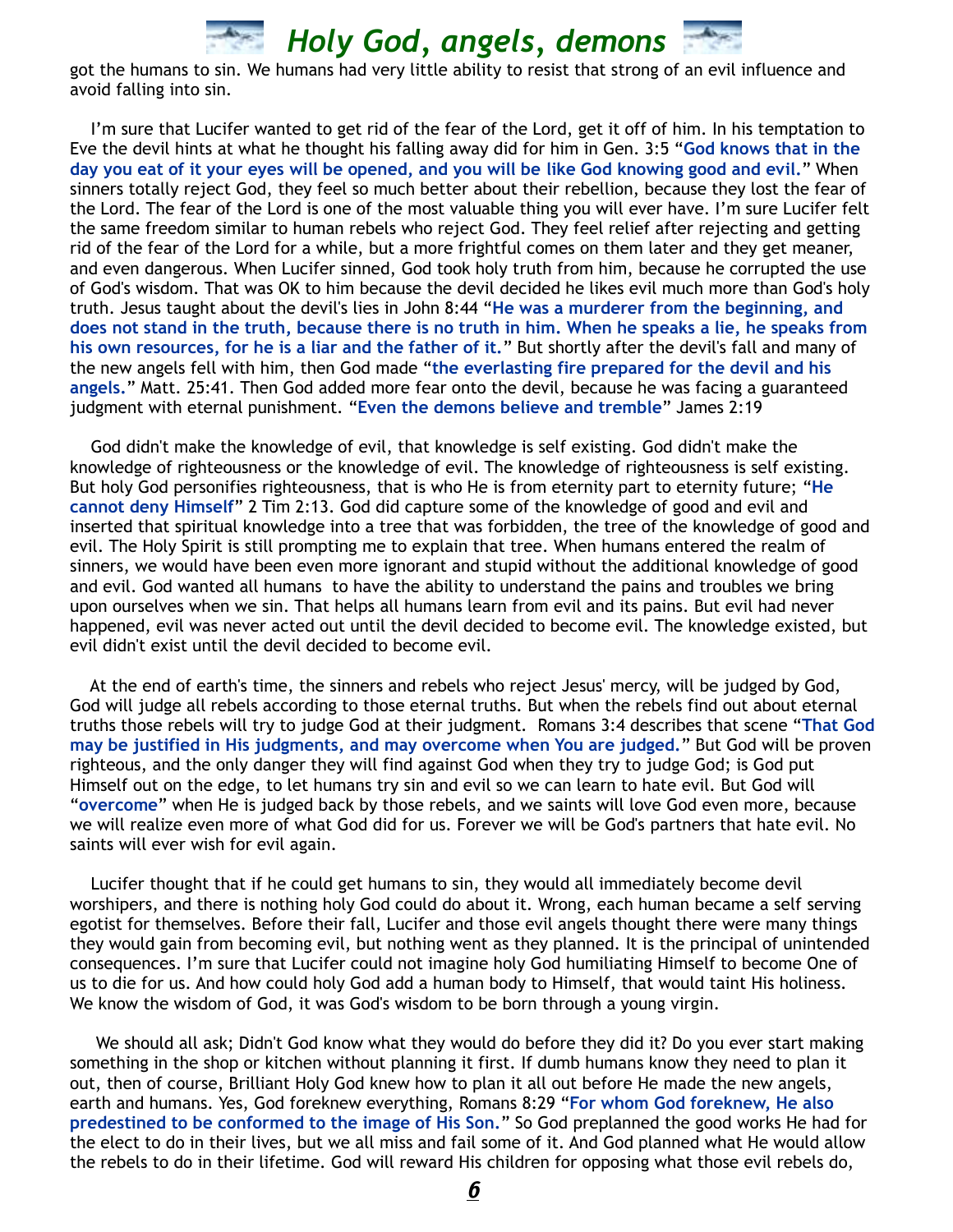

got the humans to sin. We humans had very little ability to resist that strong of an evil influence and avoid falling into sin.

 I'm sure that Lucifer wanted to get rid of the fear of the Lord, get it off of him. In his temptation to Eve the devil hints at what he thought his falling away did for him in Gen. 3:5 "**God knows that in the day you eat of it your eyes will be opened, and you will be like God knowing good and evil.**" When sinners totally reject God, they feel so much better about their rebellion, because they lost the fear of the Lord. The fear of the Lord is one of the most valuable thing you will ever have. I'm sure Lucifer felt the same freedom similar to human rebels who reject God. They feel relief after rejecting and getting rid of the fear of the Lord for a while, but a more frightful comes on them later and they get meaner, and even dangerous. When Lucifer sinned, God took holy truth from him, because he corrupted the use of God's wisdom. That was OK to him because the devil decided he likes evil much more than God's holy truth. Jesus taught about the devil's lies in John 8:44 "**He was a murderer from the beginning, and does not stand in the truth, because there is no truth in him. When he speaks a lie, he speaks from his own resources, for he is a liar and the father of it.**" But shortly after the devil's fall and many of the new angels fell with him, then God made "**the everlasting fire prepared for the devil and his angels.**" Matt. 25:41. Then God added more fear onto the devil, because he was facing a guaranteed judgment with eternal punishment. "**Even the demons believe and tremble**" James 2:19

 God didn't make the knowledge of evil, that knowledge is self existing. God didn't make the knowledge of righteousness or the knowledge of evil. The knowledge of righteousness is self existing. But holy God personifies righteousness, that is who He is from eternity part to eternity future; "**He cannot deny Himself**" 2 Tim 2:13. God did capture some of the knowledge of good and evil and inserted that spiritual knowledge into a tree that was forbidden, the tree of the knowledge of good and evil. The Holy Spirit is still prompting me to explain that tree. When humans entered the realm of sinners, we would have been even more ignorant and stupid without the additional knowledge of good and evil. God wanted all humans to have the ability to understand the pains and troubles we bring upon ourselves when we sin. That helps all humans learn from evil and its pains. But evil had never happened, evil was never acted out until the devil decided to become evil. The knowledge existed, but evil didn't exist until the devil decided to become evil.

 At the end of earth's time, the sinners and rebels who reject Jesus' mercy, will be judged by God, God will judge all rebels according to those eternal truths. But when the rebels find out about eternal truths those rebels will try to judge God at their judgment. Romans 3:4 describes that scene "**That God may be justified in His judgments, and may overcome when You are judged.**" But God will be proven righteous, and the only danger they will find against God when they try to judge God; is God put Himself out on the edge, to let humans try sin and evil so we can learn to hate evil. But God will "**overcome**" when He is judged back by those rebels, and we saints will love God even more, because we will realize even more of what God did for us. Forever we will be God's partners that hate evil. No saints will ever wish for evil again.

 Lucifer thought that if he could get humans to sin, they would all immediately become devil worshipers, and there is nothing holy God could do about it. Wrong, each human became a self serving egotist for themselves. Before their fall, Lucifer and those evil angels thought there were many things they would gain from becoming evil, but nothing went as they planned. It is the principal of unintended consequences. I'm sure that Lucifer could not imagine holy God humiliating Himself to become One of us to die for us. And how could holy God add a human body to Himself, that would taint His holiness. We know the wisdom of God, it was God's wisdom to be born through a young virgin.

 We should all ask; Didn't God know what they would do before they did it? Do you ever start making something in the shop or kitchen without planning it first. If dumb humans know they need to plan it out, then of course, Brilliant Holy God knew how to plan it all out before He made the new angels, earth and humans. Yes, God foreknew everything, Romans 8:29 "**For whom God foreknew, He also predestined to be conformed to the image of His Son.**" So God preplanned the good works He had for the elect to do in their lives, but we all miss and fail some of it. And God planned what He would allow the rebels to do in their lifetime. God will reward His children for opposing what those evil rebels do,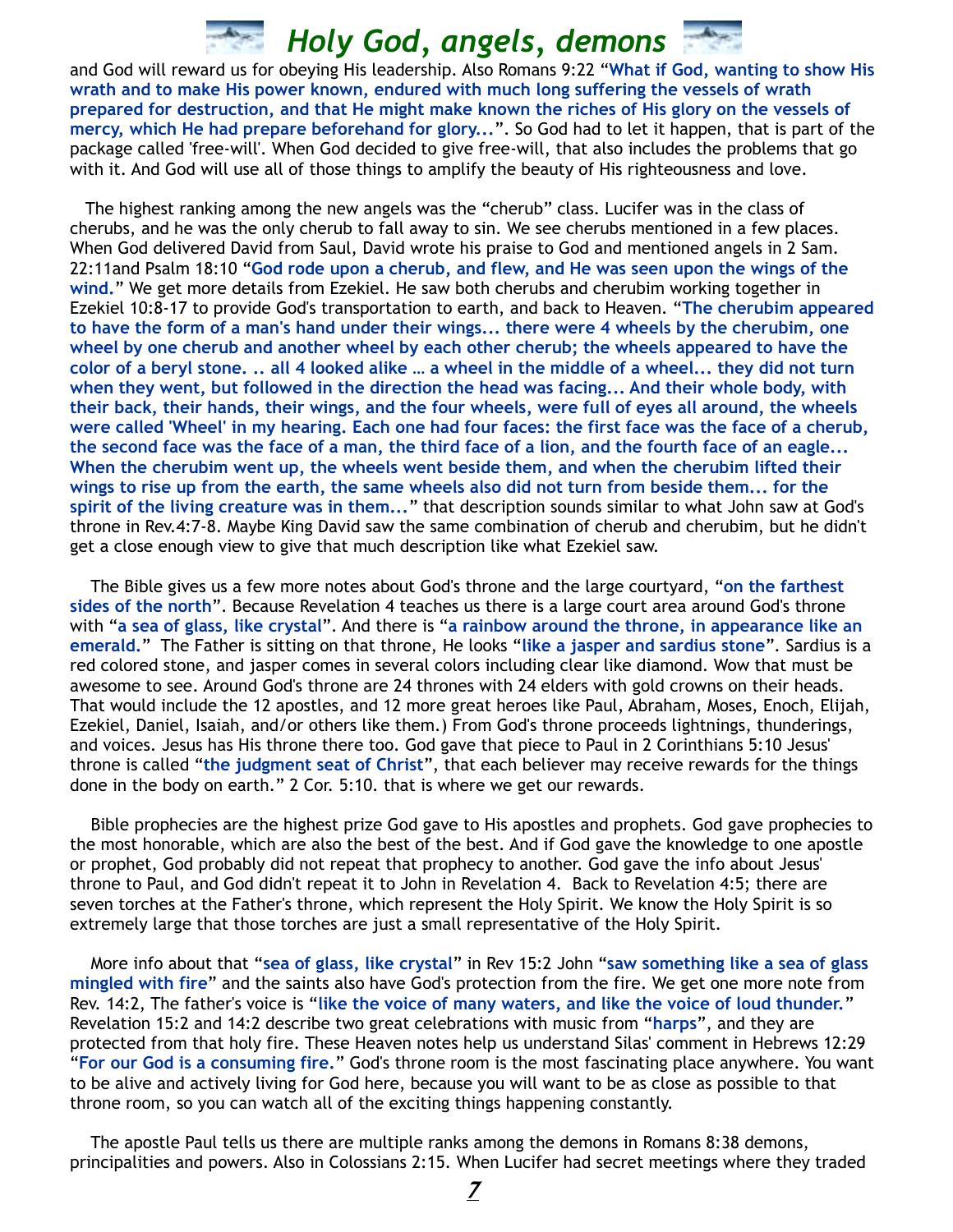and God will reward us for obeying His leadership. Also Romans 9:22 "**What if God, wanting to show His wrath and to make His power known, endured with much long suffering the vessels of wrath prepared for destruction, and that He might make known the riches of His glory on the vessels of mercy, which He had prepare beforehand for glory...**". So God had to let it happen, that is part of the package called 'free-will'. When God decided to give free-will, that also includes the problems that go with it. And God will use all of those things to amplify the beauty of His righteousness and love.

 The highest ranking among the new angels was the "cherub" class. Lucifer was in the class of cherubs, and he was the only cherub to fall away to sin. We see cherubs mentioned in a few places. When God delivered David from Saul, David wrote his praise to God and mentioned angels in 2 Sam. 22:11and Psalm 18:10 "**God rode upon a cherub, and flew, and He was seen upon the wings of the wind.**" We get more details from Ezekiel. He saw both cherubs and cherubim working together in Ezekiel 10:8-17 to provide God's transportation to earth, and back to Heaven. "**The cherubim appeared to have the form of a man's hand under their wings... there were 4 wheels by the cherubim, one wheel by one cherub and another wheel by each other cherub; the wheels appeared to have the color of a beryl stone. .. all 4 looked alike … a wheel in the middle of a wheel... they did not turn when they went, but followed in the direction the head was facing... And their whole body, with their back, their hands, their wings, and the four wheels, were full of eyes all around, the wheels were called 'Wheel' in my hearing. Each one had four faces: the first face was the face of a cherub, the second face was the face of a man, the third face of a lion, and the fourth face of an eagle... When the cherubim went up, the wheels went beside them, and when the cherubim lifted their wings to rise up from the earth, the same wheels also did not turn from beside them... for the spirit of the living creature was in them...**" that description sounds similar to what John saw at God's throne in Rev.4:7-8. Maybe King David saw the same combination of cherub and cherubim, but he didn't get a close enough view to give that much description like what Ezekiel saw.

 The Bible gives us a few more notes about God's throne and the large courtyard, "**on the farthest sides of the north**". Because Revelation 4 teaches us there is a large court area around God's throne with "**a sea of glass, like crystal**". And there is "**a rainbow around the throne, in appearance like an emerald.**" The Father is sitting on that throne, He looks "**like a jasper and sardius stone**". Sardius is a red colored stone, and jasper comes in several colors including clear like diamond. Wow that must be awesome to see. Around God's throne are 24 thrones with 24 elders with gold crowns on their heads. That would include the 12 apostles, and 12 more great heroes like Paul, Abraham, Moses, Enoch, Elijah, Ezekiel, Daniel, Isaiah, and/or others like them.) From God's throne proceeds lightnings, thunderings, and voices. Jesus has His throne there too. God gave that piece to Paul in 2 Corinthians 5:10 Jesus' throne is called "**the judgment seat of Christ**", that each believer may receive rewards for the things done in the body on earth." 2 Cor. 5:10. that is where we get our rewards.

 Bible prophecies are the highest prize God gave to His apostles and prophets. God gave prophecies to the most honorable, which are also the best of the best. And if God gave the knowledge to one apostle or prophet, God probably did not repeat that prophecy to another. God gave the info about Jesus' throne to Paul, and God didn't repeat it to John in Revelation 4. Back to Revelation 4:5; there are seven torches at the Father's throne, which represent the Holy Spirit. We know the Holy Spirit is so extremely large that those torches are just a small representative of the Holy Spirit.

 More info about that "**sea of glass, like crystal**" in Rev 15:2 John "**saw something like a sea of glass mingled with fire**" and the saints also have God's protection from the fire. We get one more note from Rev. 14:2, The father's voice is "**like the voice of many waters, and like the voice of loud thunder.**" Revelation 15:2 and 14:2 describe two great celebrations with music from "**harps**", and they are protected from that holy fire. These Heaven notes help us understand Silas' comment in Hebrews 12:29 "**For our God is a consuming fire.**" God's throne room is the most fascinating place anywhere. You want to be alive and actively living for God here, because you will want to be as close as possible to that throne room, so you can watch all of the exciting things happening constantly.

 The apostle Paul tells us there are multiple ranks among the demons in Romans 8:38 demons, principalities and powers. Also in Colossians 2:15. When Lucifer had secret meetings where they traded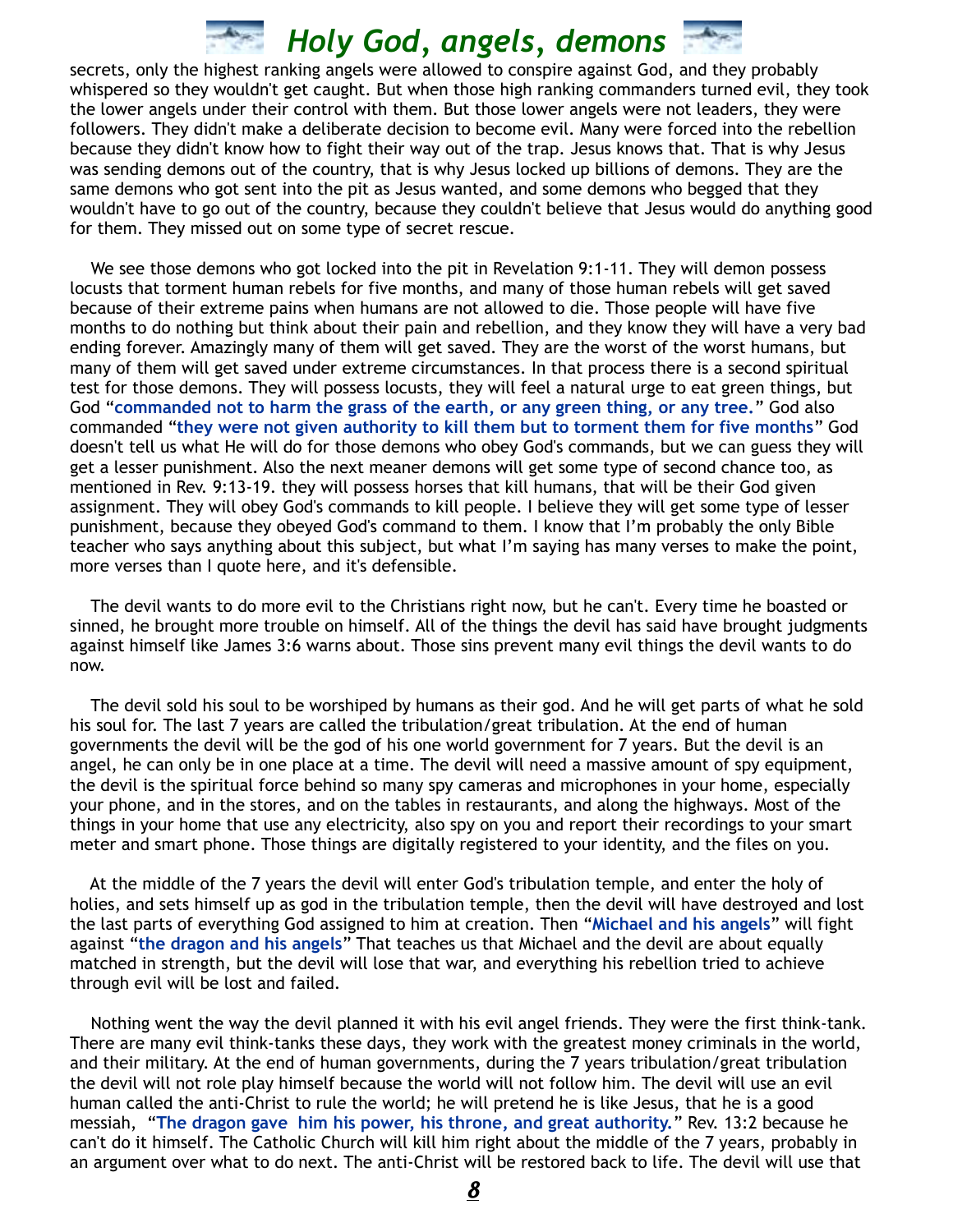secrets, only the highest ranking angels were allowed to conspire against God, and they probably whispered so they wouldn't get caught. But when those high ranking commanders turned evil, they took the lower angels under their control with them. But those lower angels were not leaders, they were followers. They didn't make a deliberate decision to become evil. Many were forced into the rebellion because they didn't know how to fight their way out of the trap. Jesus knows that. That is why Jesus was sending demons out of the country, that is why Jesus locked up billions of demons. They are the same demons who got sent into the pit as Jesus wanted, and some demons who begged that they wouldn't have to go out of the country, because they couldn't believe that Jesus would do anything good for them. They missed out on some type of secret rescue.

We see those demons who got locked into the pit in Revelation 9:1-11. They will demon possess locusts that torment human rebels for five months, and many of those human rebels will get saved because of their extreme pains when humans are not allowed to die. Those people will have five months to do nothing but think about their pain and rebellion, and they know they will have a very bad ending forever. Amazingly many of them will get saved. They are the worst of the worst humans, but many of them will get saved under extreme circumstances. In that process there is a second spiritual test for those demons. They will possess locusts, they will feel a natural urge to eat green things, but God "**commanded not to harm the grass of the earth, or any green thing, or any tree.**" God also commanded "**they were not given authority to kill them but to torment them for five months**" God doesn't tell us what He will do for those demons who obey God's commands, but we can guess they will get a lesser punishment. Also the next meaner demons will get some type of second chance too, as mentioned in Rev. 9:13-19. they will possess horses that kill humans, that will be their God given assignment. They will obey God's commands to kill people. I believe they will get some type of lesser punishment, because they obeyed God's command to them. I know that I'm probably the only Bible teacher who says anything about this subject, but what I'm saying has many verses to make the point, more verses than I quote here, and it's defensible.

 The devil wants to do more evil to the Christians right now, but he can't. Every time he boasted or sinned, he brought more trouble on himself. All of the things the devil has said have brought judgments against himself like James 3:6 warns about. Those sins prevent many evil things the devil wants to do now.

 The devil sold his soul to be worshiped by humans as their god. And he will get parts of what he sold his soul for. The last 7 years are called the tribulation/great tribulation. At the end of human governments the devil will be the god of his one world government for 7 years. But the devil is an angel, he can only be in one place at a time. The devil will need a massive amount of spy equipment, the devil is the spiritual force behind so many spy cameras and microphones in your home, especially your phone, and in the stores, and on the tables in restaurants, and along the highways. Most of the things in your home that use any electricity, also spy on you and report their recordings to your smart meter and smart phone. Those things are digitally registered to your identity, and the files on you.

 At the middle of the 7 years the devil will enter God's tribulation temple, and enter the holy of holies, and sets himself up as god in the tribulation temple, then the devil will have destroyed and lost the last parts of everything God assigned to him at creation. Then "**Michael and his angels**" will fight against "**the dragon and his angels**" That teaches us that Michael and the devil are about equally matched in strength, but the devil will lose that war, and everything his rebellion tried to achieve through evil will be lost and failed.

 Nothing went the way the devil planned it with his evil angel friends. They were the first think-tank. There are many evil think-tanks these days, they work with the greatest money criminals in the world, and their military. At the end of human governments, during the 7 years tribulation/great tribulation the devil will not role play himself because the world will not follow him. The devil will use an evil human called the anti-Christ to rule the world; he will pretend he is like Jesus, that he is a good messiah, "**The dragon gave him his power, his throne, and great authority.**" Rev. 13:2 because he can't do it himself. The Catholic Church will kill him right about the middle of the 7 years, probably in an argument over what to do next. The anti-Christ will be restored back to life. The devil will use that